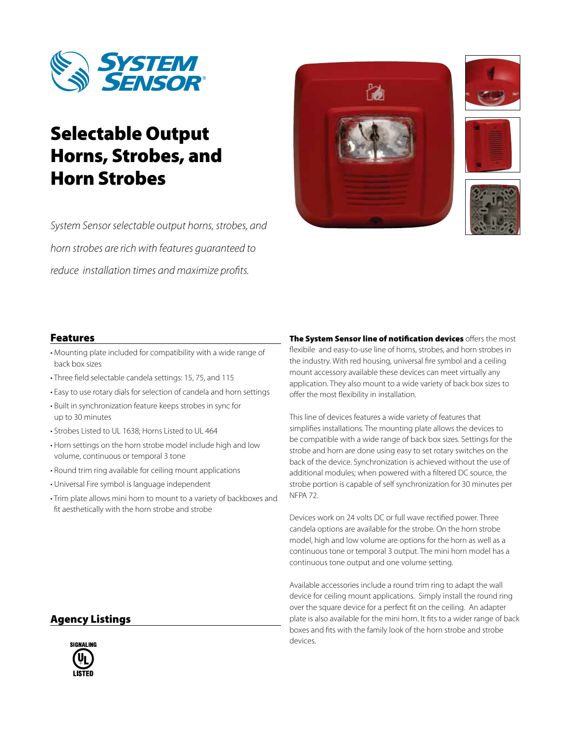

# Selectable Output Horns, Strobes, and Horn Strobes

*System Sensor selectable output horns, strobes, and horn strobes are rich with features guaranteed to reduce installation times and maximize profits.*







## Features

- Mounting plate included for compatibility with a wide range of back box sizes
- Three field selectable candela settings: 15, 75, and 115
- Easy to use rotary dials for selection of candela and horn settings
- Built in synchronization feature keeps strobes in sync for up to 30 minutes
- Strobes Listed to UL 1638; Horns Listed to UL 464
- Horn settings on the horn strobe model include high and low volume, continuous or temporal 3 tone
- Round trim ring available for ceiling mount applications
- Universal Fire symbol is language independent
- Trim plate allows mini horn to mount to a variety of backboxes and fit aesthetically with the horn strobe and strobe

The System Sensor line of notification devices offers the most flexibile and easy-to-use line of horns, strobes, and horn strobes in the industry. With red housing, universal fire symbol and a ceiling mount accessory available these devices can meet virtually any application. They also mount to a wide variety of back box sizes to offer the most flexibility in installation.

This line of devices features a wide variety of features that simplifies installations. The mounting plate allows the devices to be compatible with a wide range of back box sizes. Settings for the strobe and horn are done using easy to set rotary switches on the back of the device. Synchronization is achieved without the use of additional modules; when powered with a filtered DC source, the strobe portion is capable of self synchronization for 30 minutes per NFPA 72.

Devices work on 24 volts DC or full wave rectified power. Three candela options are available for the strobe. On the horn strobe model, high and low volume are options for the horn as well as a continuous tone or temporal 3 output. The mini horn model has a continuous tone output and one volume setting.

Available accessories include a round trim ring to adapt the wall device for ceiling mount applications. Simply install the round ring over the square device for a perfect fit on the ceiling. An adapter plate is also available for the mini horn. It fits to a wider range of back boxes and fits with the family look of the horn strobe and strobe devices.

## Agency Listings

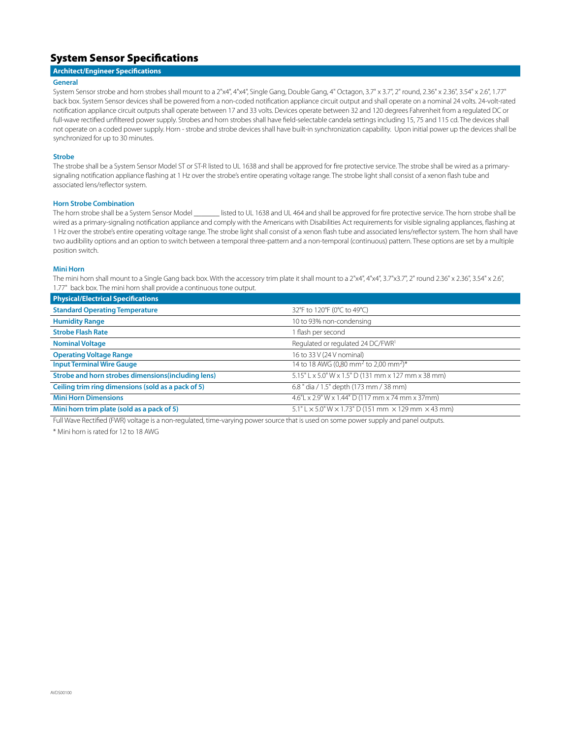## System Sensor Specifications

### **Architect/Engineer Specifications**

### **General**

System Sensor strobe and horn strobes shall mount to a 2"x4", 4"x4", Single Gang, Double Gang, 4" Octagon, 3.7" x 3.7", 2" round, 2.36" x 2.36", 3.54" x 2.6", 1.77" back box. System Sensor devices shall be powered from a non-coded notification appliance circuit output and shall operate on a nominal 24 volts. 24-volt-rated notification appliance circuit outputs shall operate between 17 and 33 volts. Devices operate between 32 and 120 degrees Fahrenheit from a regulated DC or full-wave rectified unfiltered power supply. Strobes and horn strobes shall have field-selectable candela settings including 15, 75 and 115 cd. The devices shall not operate on a coded power supply. Horn - strobe and strobe devices shall have built-in synchronization capability. Upon initial power up the devices shall be synchronized for up to 30 minutes.

### **Strobe**

The strobe shall be a System Sensor Model ST or ST-R listed to UL 1638 and shall be approved for fire protective service. The strobe shall be wired as a primarysignaling notification appliance flashing at 1 Hz over the strobe's entire operating voltage range. The strobe light shall consist of a xenon flash tube and associated lens/reflector system.

**Horn Strobe Combination**<br>The horn strobe shall be a System Sensor Model Isted to UL 1638 and UL 464 and shall be approved for fire protective service. The horn strobe shall be wired as a primary-signaling notification appliance and comply with the Americans with Disabilities Act requirements for visible signaling appliances, flashing at 1 Hz over the strobe's entire operating voltage range. The strobe light shall consist of a xenon flash tube and associated lens/reflector system. The horn shall have two audibility options and an option to switch between a temporal three-pattern and a non-temporal (continuous) pattern. These options are set by a multiple position switch.

### **Mini Horn**

The mini horn shall mount to a Single Gang back box. With the accessory trim plate it shall mount to a 2"x4", 4"x4", 3.7"x3.7", 2" round 2.36" x 2.36", 3.54" x 2.6", 3.54" x 2.6", 1.77" back box. The mini horn shall provide a continuous tone output.

| <b>Physical/Electrical Specifications</b>           |                                                                                   |
|-----------------------------------------------------|-----------------------------------------------------------------------------------|
| <b>Standard Operating Temperature</b>               | 32°F to 120°F (0°C to 49°C)                                                       |
| <b>Humidity Range</b>                               | 10 to 93% non-condensing                                                          |
| <b>Strobe Flash Rate</b>                            | I flash per second                                                                |
| <b>Nominal Voltage</b>                              | Regulated or regulated 24 DC/FWR <sup>1</sup>                                     |
| <b>Operating Voltage Range</b>                      | 16 to 33 V (24 V nominal)                                                         |
| <b>Input Terminal Wire Gauge</b>                    | 14 to 18 AWG (0.80 mm <sup>2</sup> to 2,00 mm <sup>2</sup> )*                     |
| Strobe and horn strobes dimensions (including lens) | 5.15" L x 5.0" W x 1.5" D (131 mm x 127 mm x 38 mm)                               |
| Ceiling trim ring dimensions (sold as a pack of 5)  | 6.8 " dia / 1.5" depth (173 mm / 38 mm)                                           |
| <b>Mini Horn Dimensions</b>                         | 4.6"L x 2.9" W x 1.44" D (117 mm x 74 mm x 37mm)                                  |
| Mini horn trim plate (sold as a pack of 5)          | $5.1"$ L $\times$ 5.0" W $\times$ 1.73" D (151 mm $\times$ 129 mm $\times$ 43 mm) |

Full Wave Rectified (FWR) voltage is a non-regulated, time-varying power source that is used on some power supply and panel outputs.

\* Mini horn is rated for 12 to 18 AWG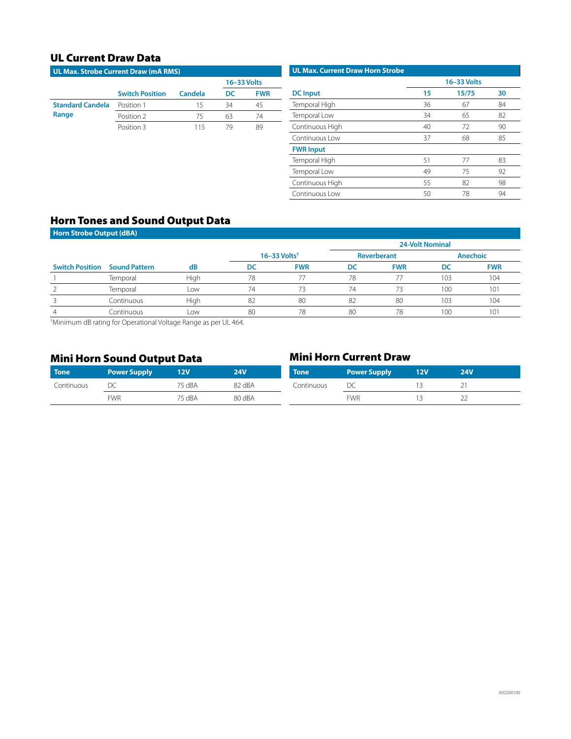## UL Current Draw Data

| <b>UL Max. Strobe Current Draw (mA RMS)</b>                  |                        |         |             |            |  |  |
|--------------------------------------------------------------|------------------------|---------|-------------|------------|--|--|
|                                                              |                        |         | 16-33 Volts |            |  |  |
|                                                              | <b>Switch Position</b> | Candela | DC.         | <b>FWR</b> |  |  |
| <b>Standard Candela</b><br>Position 1<br>Range<br>Position 2 |                        | 15      | 34          |            |  |  |
|                                                              |                        | 75      | 63          | 74         |  |  |
|                                                              | Position 3             | 115     |             | 89         |  |  |

| <b>UL Max. Current Draw Horn Strobe</b> |             |       |    |  |  |  |
|-----------------------------------------|-------------|-------|----|--|--|--|
|                                         | 16-33 Volts |       |    |  |  |  |
| <b>DC</b> Input                         | 15          | 15/75 | 30 |  |  |  |
| Temporal High                           | 36          | 67    | 84 |  |  |  |
| Temporal Low                            | 34          | 65    | 82 |  |  |  |
| Continuous High                         | 40          | 72    | 90 |  |  |  |
| Continuous Low                          | 37          | 68    | 85 |  |  |  |
| <b>FWR Input</b>                        |             |       |    |  |  |  |
| Temporal High                           | 51          | 77    | 83 |  |  |  |
| Temporal Low                            | 49          | 75    | 92 |  |  |  |
| Continuous High                         | 55          | 82    | 98 |  |  |  |
| Continuous Low                          | 50          | 78    | 94 |  |  |  |

## Horn Tones and Sound Output Data

| <b>Horn Strobe Output (dBA)</b> |                      |      |    |                              |    |             |                        |                 |
|---------------------------------|----------------------|------|----|------------------------------|----|-------------|------------------------|-----------------|
|                                 |                      |      |    |                              |    |             | <b>24-Volt Nominal</b> |                 |
|                                 |                      |      |    | $16 - 33$ Volts <sup>†</sup> |    | Reverberant |                        | <b>Anechoic</b> |
| <b>Switch Position</b>          | <b>Sound Pattern</b> | dB   | DC | <b>FWR</b>                   | DC | <b>FWR</b>  | DC                     | <b>FWR</b>      |
|                                 | Temporal             | High | 78 | 77                           | 78 |             | 103                    | 104             |
|                                 | Temporal             | Low  | 74 | 73                           | 74 | 73          | 100                    | 101             |
|                                 | Continuous           | High | 82 | 80                           | 82 | 80          | 103                    | 104             |
| 4                               | Continuous           | Low  | 80 | 78                           | 80 | 78          | 100                    | 101             |

† Minimum dB rating for Operational Voltage Range as per UL 464.

## Mini Horn Sound Output Data Mini Horn Current Draw

| <b>Tone</b> | <b>Power Supply</b> | <b>12V</b> | <b>24V</b> | <b>Tone</b> | <b>Power Supply</b> | 12V | <b>24V</b> |  |
|-------------|---------------------|------------|------------|-------------|---------------------|-----|------------|--|
| Continuous  | ◡                   | 75 dBA     | 82 dBA     | Continuous  | ◡                   |     |            |  |
|             | <b>FWR</b>          | 75 dBA     | 80 dBA     |             | <b>FWR</b>          |     | <u>__</u>  |  |